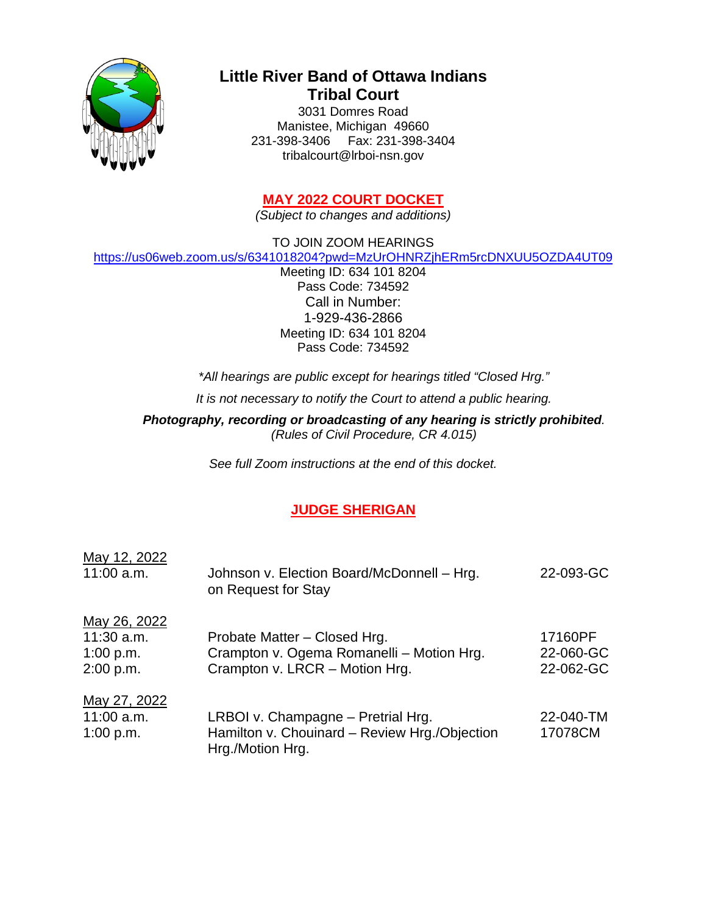

# **Little River Band of Ottawa Indians Tribal Court**

3031 Domres Road Manistee, Michigan 49660 231-398-3406 Fax: 231-398-3404 tribalcourt@lrboi-nsn.gov

# **MAY 2022 COURT DOCKET**

*(Subject to changes and additions)*

TO JOIN ZOOM HEARINGS

<https://us06web.zoom.us/s/6341018204?pwd=MzUrOHNRZjhERm5rcDNXUU5OZDA4UT09>

Meeting ID: 634 101 8204 Pass Code: 734592 Call in Number: 1-929-436-2866 Meeting ID: 634 101 8204 Pass Code: 734592

*\*All hearings are public except for hearings titled "Closed Hrg."*

*It is not necessary to notify the Court to attend a public hearing.* 

*Photography, recording or broadcasting of any hearing is strictly prohibited. (Rules of Civil Procedure, CR 4.015)*

*See full Zoom instructions at the end of this docket.*

# **JUDGE SHERIGAN**

| May 12, 2022<br>$11:00$ a.m.                           | Johnson v. Election Board/McDonnell - Hrg.<br>on Request for Stay                                           | 22-093-GC                         |
|--------------------------------------------------------|-------------------------------------------------------------------------------------------------------------|-----------------------------------|
| May 26, 2022<br>$11:30$ a.m.<br>1:00 p.m.<br>2:00 p.m. | Probate Matter – Closed Hrg.<br>Crampton v. Ogema Romanelli - Motion Hrg.<br>Crampton v. LRCR - Motion Hrg. | 17160PF<br>22-060-GC<br>22-062-GC |
| May 27, 2022<br>$11:00$ a.m.<br>1:00 p.m.              | LRBOI v. Champagne - Pretrial Hrg.<br>Hamilton v. Chouinard - Review Hrg./Objection<br>Hrg./Motion Hrg.     | 22-040-TM<br>17078CM              |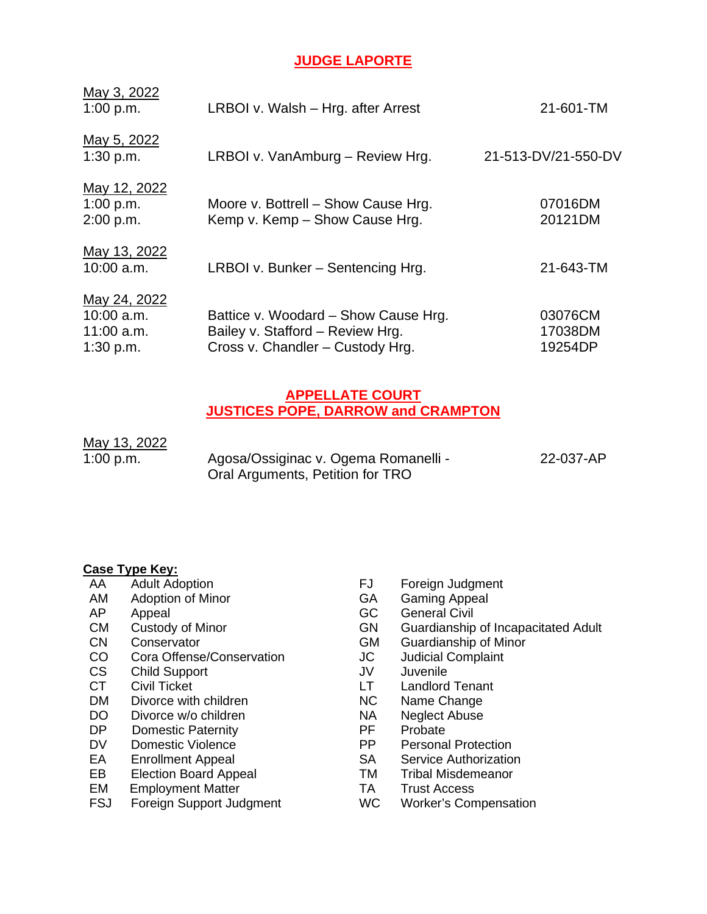### **JUDGE LAPORTE**

| May 3, 2022<br>1:00 p.m.                                  | LRBOI v. Walsh - Hrg. after Arrest                                                                           | 21-601-TM                     |
|-----------------------------------------------------------|--------------------------------------------------------------------------------------------------------------|-------------------------------|
| May 5, 2022<br>1:30 p.m.                                  | LRBOI v. VanAmburg - Review Hrg.                                                                             | 21-513-DV/21-550-DV           |
| May 12, 2022<br>1:00 p.m.<br>2:00 p.m.                    | Moore v. Bottrell – Show Cause Hrg.<br>Kemp v. Kemp - Show Cause Hrg.                                        | 07016DM<br>20121DM            |
| May 13, 2022<br>$10:00$ a.m.                              | LRBOI v. Bunker - Sentencing Hrg.                                                                            | 21-643-TM                     |
| May 24, 2022<br>$10:00$ a.m.<br>$11:00$ a.m.<br>1:30 p.m. | Battice v. Woodard - Show Cause Hrg.<br>Bailey v. Stafford - Review Hrg.<br>Cross v. Chandler - Custody Hrg. | 03076CM<br>17038DM<br>19254DP |

#### **APPELLATE COURT JUSTICES POPE, DARROW and CRAMPTON**

| <u>May 13, 2022</u> |                                      |           |
|---------------------|--------------------------------------|-----------|
| 1:00 p.m.           | Agosa/Ossiginac v. Ogema Romanelli - | 22-037-AP |
|                     | Oral Arguments, Petition for TRO     |           |

- **Case Type Key:**<br>AA Adult Adoption
- AM Adoption of Minor GA
- 
- 
- 
- Cora Offense/Conservation JC
- CS Child Support JV Juvenile<br>CT Civil Ticket LT Landlord
- 
- DM Divorce with children NC Name Change<br>
DO Divorce w/o children NA Neglect Abuse
- DO Divorce w/o children NA Neglect Abuse Control of the Neglect Abuse Control of the Neglect Abuse Control of the Media DP Probate
- 
- DV Domestic Violence
- 
- EB Election Board Appeal **EXACTER TM** Tribal Misdem<br>
EM Employment Matter **TA** Trust Access
- EM Employment Matter<br>FSJ Foreign Support Jud
- 
- FJ Foreign Judgment<br>GA Gaming Appeal
- 
- AP Appeal and Appeal GC General Civil<br>
CM Custody of Minor CM Guardianship
- CM Custody of Minor GN Guardianship of Incapacitated Adult<br>
CN Conservator CN Guardianship of Minor
- CN Conservator GM Guardianship of Minor<br>
CO Cora Offense/Conservation JC Judicial Complaint
	-
	-
- CT Civil Ticket CT Civil Ticket LT Landlord Tenant<br>
DM Divorce with children CNC Name Change
	-
	-
	-
	- Domestic Paternity<br>
	Domestic Violence<br>
	Domestic Violence<br>
	PP Personal Protection
- EA Enrollment Appeal SA Service Authorization<br>
EB Election Board Appeal SA TM Tribal Misdemeanor
	-
	-
	- Foreign Support Judgment WC Worker's Compensation